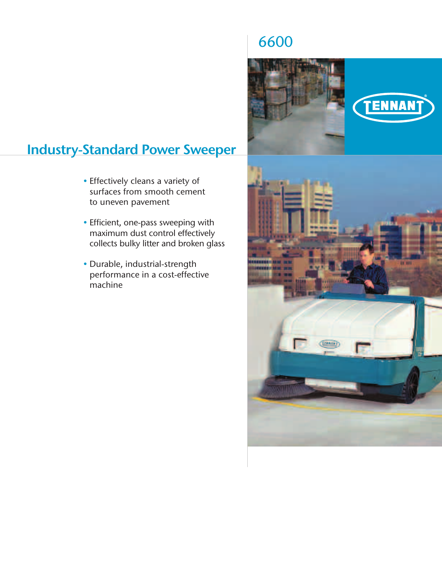## 6600



## **Industry-Standard Power Sweeper**

- Effectively cleans a variety of surfaces from smooth cement to uneven pavement
- Efficient, one-pass sweeping with maximum dust control effectively collects bulky litter and broken glass
- Durable, industrial-strength performance in a cost-effective machine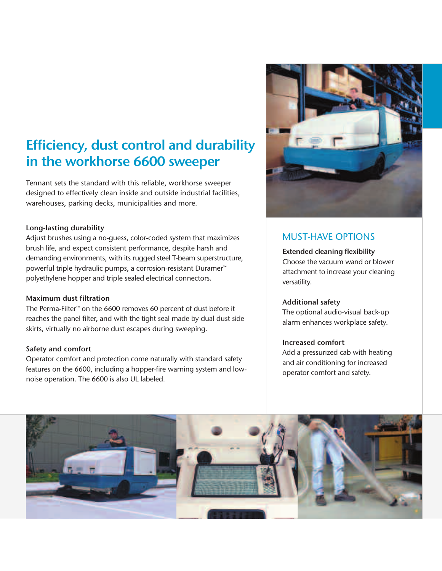# **Efficiency, dust control and durability in the workhorse 6600 sweeper**

Tennant sets the standard with this reliable, workhorse sweeper designed to effectively clean inside and outside industrial facilities, warehouses, parking decks, municipalities and more.

#### **Long-lasting durability**

Adjust brushes using a no-guess, color-coded system that maximizes brush life, and expect consistent performance, despite harsh and demanding environments, with its rugged steel T-beam superstructure, powerful triple hydraulic pumps, a corrosion-resistant Duramer™ polyethylene hopper and triple sealed electrical connectors.

#### **Maximum dust filtration**

The Perma-Filter™ on the 6600 removes 60 percent of dust before it reaches the panel filter, and with the tight seal made by dual dust side skirts, virtually no airborne dust escapes during sweeping.

#### **Safety and comfort**

Operator comfort and protection come naturally with standard safety features on the 6600, including a hopper-fire warning system and lownoise operation. The 6600 is also UL labeled.



### MUST-HAVE OPTIONS

#### **Extended cleaning flexibility**

Choose the vacuum wand or blower attachment to increase your cleaning versatility.

#### **Additional safety**

The optional audio-visual back-up alarm enhances workplace safety.

#### **Increased comfort**

Add a pressurized cab with heating and air conditioning for increased operator comfort and safety.

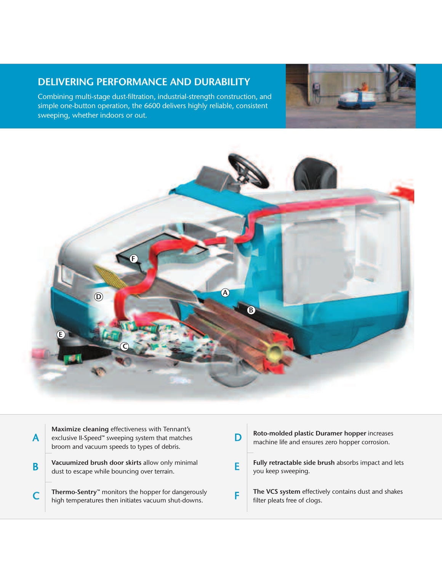## **DELIVERING PERFORMANCE AND DURABILITY**

Combining multi-stage dust-filtration, industrial-strength construction, and simple one-button operation, the 6600 delivers highly reliable, consistent sweeping, whether indoors or out.





| Maximize cleaning effectiveness with Tennant's<br>exclusive II-Speed™ sweeping system that matches<br>broom and vacuum speeds to types of debris. | Roto-molded plastic Duramer hopper increases<br>machine life and ensures zero hopper corrosion. |
|---------------------------------------------------------------------------------------------------------------------------------------------------|-------------------------------------------------------------------------------------------------|
| Vacuumized brush door skirts allow only minimal<br>dust to escape while bouncing over terrain.                                                    | Fully retractable side brush absorbs impact and lets<br>you keep sweeping.                      |
| Thermo-Sentry <sup>™</sup> monitors the hopper for dangerously<br>high temperatures then initiates vacuum shut-downs.                             | The VCS system effectively contains dust and shakes<br>filter pleats free of clogs.             |